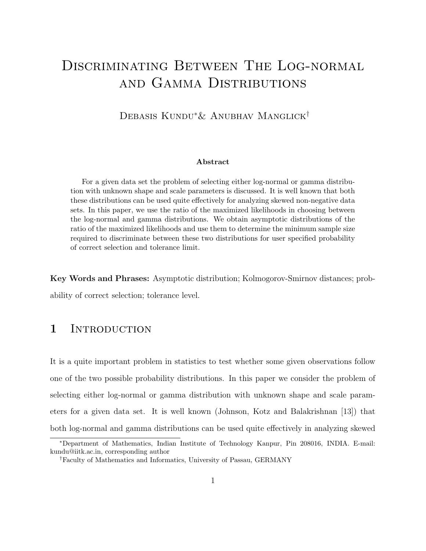# DISCRIMINATING BETWEEN THE LOG-NORMAL and Gamma Distributions

### Debasis Kundu∗& Anubhav Manglick†

#### Abstract

For a given data set the problem of selecting either log-normal or gamma distribution with unknown shape and scale parameters is discussed. It is well known that both these distributions can be used quite effectively for analyzing skewed non-negative data sets. In this paper, we use the ratio of the maximized likelihoods in choosing between the log-normal and gamma distributions. We obtain asymptotic distributions of the ratio of the maximized likelihoods and use them to determine the minimum sample size required to discriminate between these two distributions for user specified probability of correct selection and tolerance limit.

Key Words and Phrases: Asymptotic distribution; Kolmogorov-Smirnov distances; probability of correct selection; tolerance level.

#### 1 INTRODUCTION

It is a quite important problem in statistics to test whether some given observations follow one of the two possible probability distributions. In this paper we consider the problem of selecting either log-normal or gamma distribution with unknown shape and scale parameters for a given data set. It is well known (Johnson, Kotz and Balakrishnan [13]) that both log-normal and gamma distributions can be used quite effectively in analyzing skewed

<sup>∗</sup>Department of Mathematics, Indian Institute of Technology Kanpur, Pin 208016, INDIA. E-mail: kundu@iitk.ac.in, corresponding author

<sup>†</sup>Faculty of Mathematics and Informatics, University of Passau, GERMANY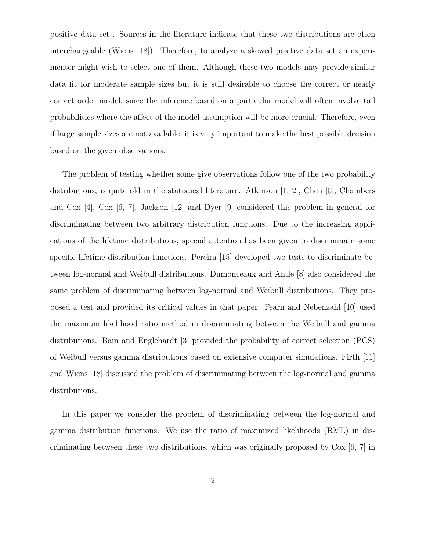positive data set . Sources in the literature indicate that these two distributions are often interchangeable (Wiens [18]). Therefore, to analyze a skewed positive data set an experimenter might wish to select one of them. Although these two models may provide similar data fit for moderate sample sizes but it is still desirable to choose the correct or nearly correct order model, since the inference based on a particular model will often involve tail probabilities where the affect of the model assumption will be more crucial. Therefore, even if large sample sizes are not available, it is very important to make the best possible decision based on the given observations.

The problem of testing whether some give observations follow one of the two probability distributions, is quite old in the statistical literature. Atkinson  $[1, 2]$ , Chen  $[5]$ , Chambers and Cox [4], Cox [6, 7], Jackson [12] and Dyer [9] considered this problem in general for discriminating between two arbitrary distribution functions. Due to the increasing applications of the lifetime distributions, special attention has been given to discriminate some specific lifetime distribution functions. Pereira [15] developed two tests to discriminate between log-normal and Weibull distributions. Dumonceaux and Antle [8] also considered the same problem of discriminating between log-normal and Weibull distributions. They proposed a test and provided its critical values in that paper. Fearn and Nebenzahl [10] used the maximum likelihood ratio method in discriminating between the Weibull and gamma distributions. Bain and Englehardt [3] provided the probability of correct selection (PCS) of Weibull versus gamma distributions based on extensive computer simulations. Firth [11] and Wiens [18] discussed the problem of discriminating between the log-normal and gamma distributions.

In this paper we consider the problem of discriminating between the log-normal and gamma distribution functions. We use the ratio of maximized likelihoods (RML) in discriminating between these two distributions, which was originally proposed by Cox [6, 7] in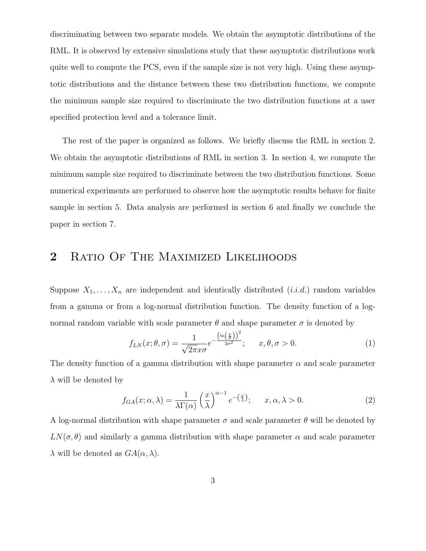discriminating between two separate models. We obtain the asymptotic distributions of the RML. It is observed by extensive simulations study that these asymptotic distributions work quite well to compute the PCS, even if the sample size is not very high. Using these asymptotic distributions and the distance between these two distribution functions, we compute the minimum sample size required to discriminate the two distribution functions at a user specified protection level and a tolerance limit.

The rest of the paper is organized as follows. We briefly discuss the RML in section 2. We obtain the asymptotic distributions of RML in section 3. In section 4, we compute the minimum sample size required to discriminate between the two distribution functions. Some numerical experiments are performed to observe how the asymptotic results behave for finite sample in section 5. Data analysis are performed in section 6 and finally we conclude the paper in section 7.

### 2 RATIO OF THE MAXIMIZED LIKELIHOODS

Suppose  $X_1, \ldots, X_n$  are independent and identically distributed  $(i.i.d.)$  random variables from a gamma or from a log-normal distribution function. The density function of a lognormal random variable with scale parameter  $\theta$  and shape parameter  $\sigma$  is denoted by

$$
f_{LN}(x; \theta, \sigma) = \frac{1}{\sqrt{2\pi}x\sigma} e^{-\frac{\left(\ln\left(\frac{x}{\theta}\right)\right)^2}{2\sigma^2}}; \quad x, \theta, \sigma > 0.
$$
 (1)

The density function of a gamma distribution with shape parameter  $\alpha$  and scale parameter  $\lambda$  will be denoted by

$$
f_{GA}(x; \alpha, \lambda) = \frac{1}{\lambda \Gamma(\alpha)} \left(\frac{x}{\lambda}\right)^{\alpha - 1} e^{-\left(\frac{x}{\lambda}\right)}; \quad x, \alpha, \lambda > 0.
$$
 (2)

A log-normal distribution with shape parameter  $\sigma$  and scale parameter  $\theta$  will be denoted by  $LN(\sigma, \theta)$  and similarly a gamma distribution with shape parameter  $\alpha$  and scale parameter  $\lambda$  will be denoted as  $GA(\alpha, \lambda)$ .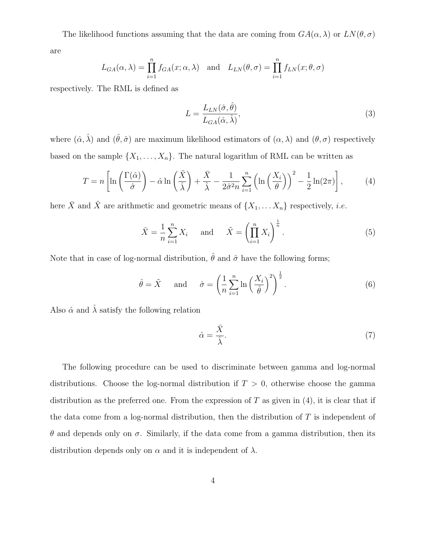The likelihood functions assuming that the data are coming from  $GA(\alpha, \lambda)$  or  $LN(\theta, \sigma)$ 

are

$$
L_{GA}(\alpha, \lambda) = \prod_{i=1}^{n} f_{GA}(x; \alpha, \lambda) \text{ and } L_{LN}(\theta, \sigma) = \prod_{i=1}^{n} f_{LN}(x; \theta, \sigma)
$$

respectively. The RML is defined as

$$
L = \frac{L_{LN}(\hat{\sigma}, \hat{\theta})}{L_{GA}(\hat{\alpha}, \hat{\lambda})},\tag{3}
$$

where  $(\hat{\alpha}, \hat{\lambda})$  and  $(\hat{\theta}, \hat{\sigma})$  are maximum likelihood estimators of  $(\alpha, \lambda)$  and  $(\theta, \sigma)$  respectively based on the sample  $\{X_1, \ldots, X_n\}$ . The natural logarithm of RML can be written as

$$
T = n \left[ \ln \left( \frac{\Gamma(\hat{\alpha})}{\hat{\sigma}} \right) - \hat{\alpha} \ln \left( \frac{\tilde{X}}{\hat{\lambda}} \right) + \frac{\bar{X}}{\hat{\lambda}} - \frac{1}{2\hat{\sigma}^2 n} \sum_{i=1}^n \left( \ln \left( \frac{X_i}{\theta} \right) \right)^2 - \frac{1}{2} \ln(2\pi) \right],\tag{4}
$$

here  $\bar{X}$  and  $\tilde{X}$  are arithmetic and geometric means of  $\{X_1, \ldots X_n\}$  respectively, *i.e.* 

$$
\bar{X} = \frac{1}{n} \sum_{i=1}^{n} X_i \quad \text{and} \quad \tilde{X} = \left(\prod_{i=1}^{n} X_i\right)^{\frac{1}{n}}.
$$
 (5)

Note that in case of log-normal distribution,  $\hat{\theta}$  and  $\hat{\sigma}$  have the following forms;

$$
\hat{\theta} = \tilde{X}
$$
 and  $\hat{\sigma} = \left(\frac{1}{n}\sum_{i=1}^{n}\ln\left(\frac{X_i}{\hat{\theta}}\right)^2\right)^{\frac{1}{2}}$ . (6)

Also  $\hat{\alpha}$  and  $\hat{\lambda}$  satisfy the following relation

$$
\hat{\alpha} = \frac{\bar{X}}{\hat{\lambda}}.\tag{7}
$$

The following procedure can be used to discriminate between gamma and log-normal distributions. Choose the log-normal distribution if  $T > 0$ , otherwise choose the gamma distribution as the preferred one. From the expression of  $T$  as given in  $(4)$ , it is clear that if the data come from a log-normal distribution, then the distribution of  $T$  is independent of θ and depends only on σ. Similarly, if the data come from a gamma distribution, then its distribution depends only on  $\alpha$  and it is independent of  $\lambda$ .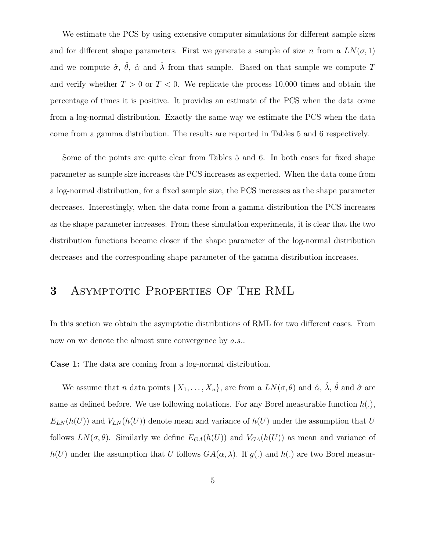We estimate the PCS by using extensive computer simulations for different sample sizes and for different shape parameters. First we generate a sample of size n from a  $LN(\sigma, 1)$ and we compute  $\hat{\sigma}$ ,  $\hat{\theta}$ ,  $\hat{\alpha}$  and  $\hat{\lambda}$  from that sample. Based on that sample we compute T and verify whether  $T > 0$  or  $T < 0$ . We replicate the process 10,000 times and obtain the percentage of times it is positive. It provides an estimate of the PCS when the data come from a log-normal distribution. Exactly the same way we estimate the PCS when the data come from a gamma distribution. The results are reported in Tables 5 and 6 respectively.

Some of the points are quite clear from Tables 5 and 6. In both cases for fixed shape parameter as sample size increases the PCS increases as expected. When the data come from a log-normal distribution, for a fixed sample size, the PCS increases as the shape parameter decreases. Interestingly, when the data come from a gamma distribution the PCS increases as the shape parameter increases. From these simulation experiments, it is clear that the two distribution functions become closer if the shape parameter of the log-normal distribution decreases and the corresponding shape parameter of the gamma distribution increases.

## 3 Asymptotic Properties Of The RML

In this section we obtain the asymptotic distributions of RML for two different cases. From now on we denote the almost sure convergence by *a.s.*.

Case 1: The data are coming from a log-normal distribution.

We assume that n data points  $\{X_1, \ldots, X_n\}$ , are from a  $LN(\sigma, \theta)$  and  $\hat{\alpha}$ ,  $\hat{\lambda}$ ,  $\hat{\theta}$  and  $\hat{\sigma}$  are same as defined before. We use following notations. For any Borel measurable function  $h(.)$ ,  $E_{LN}(h(U))$  and  $V_{LN}(h(U))$  denote mean and variance of  $h(U)$  under the assumption that U follows  $LN(\sigma, \theta)$ . Similarly we define  $E_{GA}(h(U))$  and  $V_{GA}(h(U))$  as mean and variance of  $h(U)$  under the assumption that U follows  $GA(\alpha, \lambda)$ . If  $g(.)$  and  $h(.)$  are two Borel measur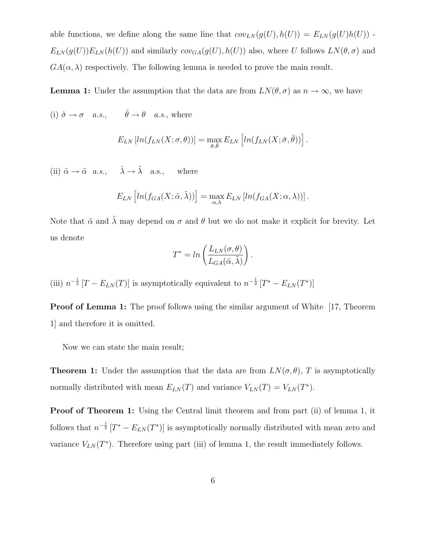able functions, we define along the same line that  $cov_{LN}(g(U), h(U)) = E_{LN}(g(U)h(U))$ .  $E_{LN}(g(U))E_{LN}(h(U))$  and similarly  $cov_{GA}(g(U), h(U))$  also, where U follows  $LN(\theta, \sigma)$  and  $GA(\alpha, \lambda)$  respectively. The following lemma is needed to prove the main result.

**Lemma 1:** Under the assumption that the data are from  $LN(\theta, \sigma)$  as  $n \to \infty$ , we have

(i)  $\hat{\sigma} \to \sigma$  a.s.,  $\hat{\theta} \to \theta$  a.s., where

$$
E_{LN}[ln(f_{LN}(X;\sigma,\theta))] = \max_{\bar{\sigma},\bar{\theta}} E_{LN}[ln(f_{LN}(X;\bar{\sigma},\bar{\theta}))].
$$

(ii)  $\hat{\alpha} \rightarrow \tilde{\alpha}$  a.s.,  $\hat{\lambda} \rightarrow \tilde{\lambda}$  a.s., where

$$
E_{LN}\left[ln(f_{GA}(X;\tilde{\alpha},\tilde{\lambda}))\right]=\max_{\alpha,\lambda}E_{LN}\left[ln(f_{GA}(X;\alpha,\lambda))\right].
$$

Note that  $\tilde{\alpha}$  and  $\tilde{\lambda}$  may depend on  $\sigma$  and  $\theta$  but we do not make it explicit for brevity. Let us denote

$$
T^* = \ln\left(\frac{L_{LN}(\sigma,\theta)}{L_{GA}(\tilde{\alpha},\tilde{\lambda})}\right).
$$

(iii)  $n^{-\frac{1}{2}}[T - E_{LN}(T)]$  is asymptotically equivalent to  $n^{-\frac{1}{2}}[T^* - E_{LN}(T^*)]$ 

**Proof of Lemma 1:** The proof follows using the similar argument of White [17, Theorem] 1] and therefore it is omitted.

Now we can state the main result;

**Theorem 1:** Under the assumption that the data are from  $LN(\sigma, \theta)$ , T is asymptotically normally distributed with mean  $E_{LN}(T)$  and variance  $V_{LN}(T) = V_{LN}(T^*)$ .

Proof of Theorem 1: Using the Central limit theorem and from part (ii) of lemma 1, it follows that  $n^{-\frac{1}{2}} [T^* - E_{LN}(T^*)]$  is asymptotically normally distributed with mean zero and variance  $V_{LN}(T^*)$ . Therefore using part (iii) of lemma 1, the result immediately follows.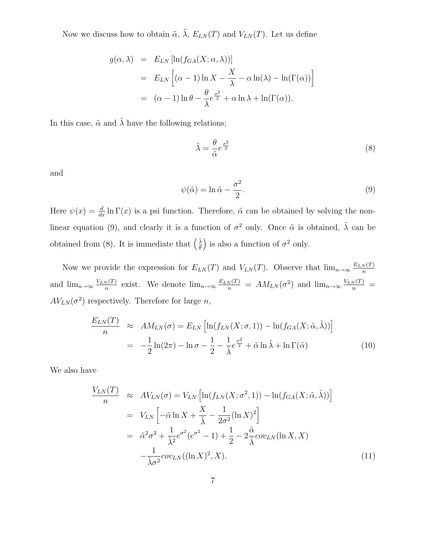Now we discuss how to obtain  $\tilde{\alpha}$ ,  $\tilde{\lambda}$ ,  $E_{LN}(T)$  and  $V_{LN}(T)$ . Let us define

$$
g(\alpha, \lambda) = E_{LN} [\ln(f_{GA}(X; \alpha, \lambda))]
$$
  
=  $E_{LN} [(\alpha - 1) \ln X - \frac{X}{\lambda} - \alpha \ln(\lambda) - \ln(\Gamma(\alpha))]$   
=  $(\alpha - 1) \ln \theta - \frac{\theta}{\lambda} e^{\frac{\sigma^2}{2}} + \alpha \ln \lambda + \ln(\Gamma(\alpha)).$ 

In this case,  $\tilde{\alpha}$  and  $\tilde{\lambda}$  have the following relations;

$$
\tilde{\lambda} = \frac{\theta}{\tilde{\alpha}} e^{\frac{\sigma^2}{2}} \tag{8}
$$

and

$$
\psi(\tilde{\alpha}) = \ln \tilde{\alpha} - \frac{\sigma^2}{2}.\tag{9}
$$

Here  $\psi(x) = \frac{d}{dx} \ln \Gamma(x)$  is a psi function. Therefore,  $\tilde{\alpha}$  can be obtained by solving the nonlinear equation (9), and clearly it is a function of  $\sigma^2$  only. Once  $\tilde{\alpha}$  is obtained,  $\tilde{\lambda}$  can be obtained from (8). It is immediate that  $\left(\frac{\tilde{\lambda}}{\theta}\right)$  $\left(\frac{\tilde{\lambda}}{\theta}\right)$  is also a function of  $\sigma^2$  only.

Now we provide the expression for  $E_{LN}(T)$  and  $V_{LN}(T)$ . Observe that  $\lim_{n\to\infty}\frac{E_{LN}(T)}{n}$ n and  $\lim_{n\to\infty}\frac{V_{LN}(T)}{n}$  $\frac{N(T)}{n}$  exist. We denote  $\lim_{n\to\infty} \frac{E_{LN}(T)}{n} = AM_{LN}(\sigma^2)$  and  $\lim_{n\to\infty} \frac{V_{LN}(T)}{n} =$  $AV_{LN}(\sigma^2)$  respectively. Therefore for large n,

$$
\frac{E_{LN}(T)}{n} \approx AM_{LN}(\sigma) = E_{LN} \left[ \ln(f_{LN}(X;\sigma,1)) - \ln(f_{GA}(X;\tilde{\alpha},\tilde{\lambda})) \right]
$$

$$
= -\frac{1}{2} \ln(2\pi) - \ln \sigma - \frac{1}{2} - \frac{1}{\tilde{\lambda}} e^{\frac{\sigma^2}{2}} + \tilde{\alpha} \ln \tilde{\lambda} + \ln \Gamma(\tilde{\alpha}) \tag{10}
$$

We also have

$$
\frac{V_{LN}(T)}{n} \approx AV_{LN}(\sigma) = V_{LN} \left[ \ln(f_{LN}(X; \sigma^2, 1)) - \ln(f_{GA}(X; \tilde{\alpha}, \tilde{\lambda})) \right]
$$
  
\n
$$
= V_{LN} \left[ -\tilde{\alpha} \ln X + \frac{X}{\tilde{\lambda}} - \frac{1}{2\sigma^2} (\ln X)^2 \right]
$$
  
\n
$$
= \tilde{\alpha}^2 \sigma^2 + \frac{1}{\tilde{\lambda}^2} e^{\sigma^2} (e^{\sigma^2} - 1) + \frac{1}{2} - 2 \frac{\tilde{\alpha}}{\tilde{\lambda}} cov_{LN}(\ln X, X)
$$
  
\n
$$
- \frac{1}{\tilde{\lambda}\sigma^2} cov_{LN}((\ln X)^2, X). \tag{11}
$$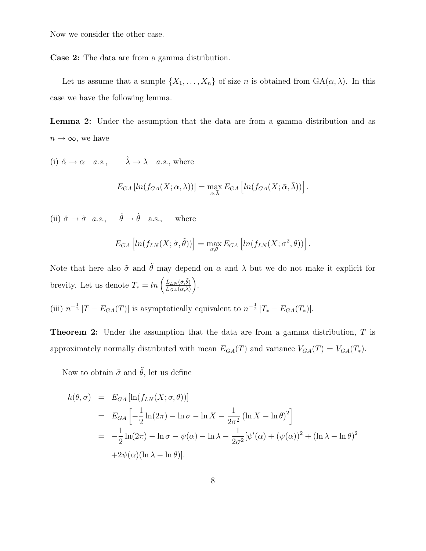Now we consider the other case.

Case 2: The data are from a gamma distribution.

Let us assume that a sample  $\{X_1, \ldots, X_n\}$  of size n is obtained from  $GA(\alpha, \lambda)$ . In this case we have the following lemma.

Lemma 2: Under the assumption that the data are from a gamma distribution and as  $n \to \infty$ , we have

(i)  $\hat{\alpha} \to \alpha \quad a.s., \qquad \hat{\lambda} \to \lambda \quad a.s.,$  where

$$
E_{GA}[ln(f_{GA}(X; \alpha, \lambda))] = \max_{\bar{\alpha}, \bar{\lambda}} E_{GA}[ln(f_{GA}(X; \bar{\alpha}, \bar{\lambda}))].
$$

(ii)  $\hat{\sigma} \to \tilde{\sigma}$  *a.s.*,  $\hat{\theta} \to \tilde{\theta}$  a.s., where

$$
E_{GA}\left[ln(f_{LN}(X;\tilde{\sigma},\tilde{\theta}))\right] = \max_{\sigma,\theta} E_{GA}\left[ln(f_{LN}(X;\sigma^2,\theta))\right]
$$

.

Note that here also  $\tilde{\sigma}$  and  $\tilde{\theta}$  may depend on  $\alpha$  and  $\lambda$  but we do not make it explicit for brevity. Let us denote  $T_* = \ln\left(\frac{L_{LN}(\tilde{\sigma}, \tilde{\theta})}{L_{CM}(\tilde{\sigma}, \lambda)}\right)$  $L_{GA}(\alpha,\lambda)$ ¶ .

(iii)  $n^{-\frac{1}{2}}[T - E_{GA}(T)]$  is asymptotically equivalent to  $n^{-\frac{1}{2}}[T_{*} - E_{GA}(T_{*})]$ .

Theorem 2: Under the assumption that the data are from a gamma distribution, T is approximately normally distributed with mean  $E_{GA}(T)$  and variance  $V_{GA}(T) = V_{GA}(T_*)$ .

Now to obtain  $\tilde{\sigma}$  and  $\tilde{\theta}$ , let us define

$$
h(\theta, \sigma) = E_{GA} [\ln(f_{LN}(X; \sigma, \theta))]
$$
  
=  $E_{GA} \left[ -\frac{1}{2} \ln(2\pi) - \ln \sigma - \ln X - \frac{1}{2\sigma^2} (\ln X - \ln \theta)^2 \right]$   
=  $-\frac{1}{2} \ln(2\pi) - \ln \sigma - \psi(\alpha) - \ln \lambda - \frac{1}{2\sigma^2} [\psi'(\alpha) + (\psi(\alpha))^2 + (\ln \lambda - \ln \theta)^2$   
+  $2\psi(\alpha)(\ln \lambda - \ln \theta)].$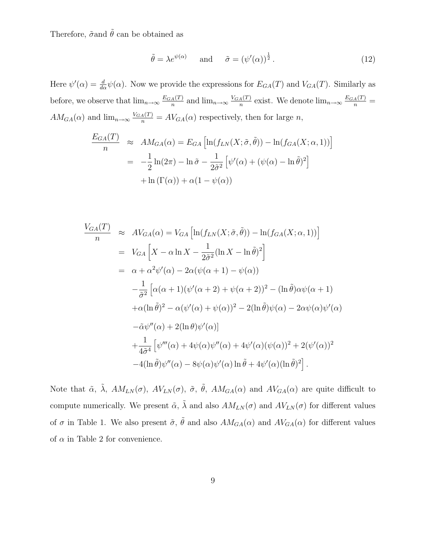Therefore,  $\tilde{\sigma}$  and  $\tilde{\theta}$  can be obtained as

$$
\tilde{\theta} = \lambda e^{\psi(\alpha)} \quad \text{and} \quad \tilde{\sigma} = (\psi'(\alpha))^{\frac{1}{2}}.
$$
 (12)

Here  $\psi'(\alpha) = \frac{d}{d\alpha}\psi(\alpha)$ . Now we provide the expressions for  $E_{GA}(T)$  and  $V_{GA}(T)$ . Similarly as before, we observe that  $\lim_{n\to\infty}\frac{E_{GA}(T)}{n}$  $\frac{A(T)}{n}$  and  $\lim_{n\to\infty} \frac{V_{GA}(T)}{n}$  $\frac{A(T)}{n}$  exist. We denote  $\lim_{n\to\infty}\frac{E_{GA}(T)}{n}$  =  $AM_{GA}(\alpha)$  and  $\lim_{n\to\infty} \frac{V_{GA}(T)}{n} = AV_{GA}(\alpha)$  respectively, then for large n,

$$
\frac{E_{GA}(T)}{n} \approx AM_{GA}(\alpha) = E_{GA} \left[ \ln(f_{LN}(X; \tilde{\sigma}, \tilde{\theta})) - \ln(f_{GA}(X; \alpha, 1)) \right]
$$

$$
= -\frac{1}{2} \ln(2\pi) - \ln \tilde{\sigma} - \frac{1}{2\tilde{\sigma}^2} \left[ \psi'(\alpha) + (\psi(\alpha) - \ln \tilde{\theta})^2 \right]
$$

$$
+ \ln(\Gamma(\alpha)) + \alpha(1 - \psi(\alpha))
$$

$$
\frac{V_{GA}(T)}{n} \approx AV_{GA}(\alpha) = V_{GA} \left[ \ln(f_{LN}(X; \tilde{\sigma}, \tilde{\theta})) - \ln(f_{GA}(X; \alpha, 1)) \right]
$$
  
\n
$$
= V_{GA} \left[ X - \alpha \ln X - \frac{1}{2\tilde{\sigma}^2} (\ln X - \ln \tilde{\theta})^2 \right]
$$
  
\n
$$
= \alpha + \alpha^2 \psi'(\alpha) - 2\alpha(\psi(\alpha + 1) - \psi(\alpha))
$$
  
\n
$$
- \frac{1}{\tilde{\sigma}^2} \left[ \alpha(\alpha + 1)(\psi'(\alpha + 2) + \psi(\alpha + 2))^2 - (\ln \tilde{\theta})\alpha\psi(\alpha + 1) \right]
$$
  
\n
$$
+ \alpha(\ln \tilde{\theta})^2 - \alpha(\psi'(\alpha) + \psi(\alpha))^2 - 2(\ln \tilde{\theta})\psi(\alpha) - 2\alpha\psi(\alpha)\psi'(\alpha)
$$
  
\n
$$
- \tilde{\alpha}\psi''(\alpha) + 2(\ln \theta)\psi'(\alpha)]
$$
  
\n
$$
+ \frac{1}{4\tilde{\sigma}^4} \left[ \psi'''(\alpha) + 4\psi(\alpha)\psi''(\alpha) + 4\psi'(\alpha)(\psi(\alpha))^2 + 2(\psi'(\alpha))^2
$$
  
\n
$$
-4(\ln \tilde{\theta})\psi''(\alpha) - 8\psi(\alpha)\psi'(\alpha)\ln \tilde{\theta} + 4\psi'(\alpha)(\ln \tilde{\theta})^2 \right].
$$

Note that  $\tilde{\alpha}$ ,  $\tilde{\lambda}$ ,  $AM_{LN}(\sigma)$ ,  $AV_{LN}(\sigma)$ ,  $\tilde{\sigma}$ ,  $\tilde{\theta}$ ,  $AM_{GA}(\alpha)$  and  $AV_{GA}(\alpha)$  are quite difficult to compute numerically. We present  $\tilde{\alpha}$ ,  $\tilde{\lambda}$  and also  $AM_{LN}(\sigma)$  and  $AV_{LN}(\sigma)$  for different values of  $\sigma$  in Table 1. We also present  $\tilde{\sigma}$ ,  $\tilde{\theta}$  and also  $AM_{GA}(\alpha)$  and  $AV_{GA}(\alpha)$  for different values of  $\alpha$  in Table 2 for convenience.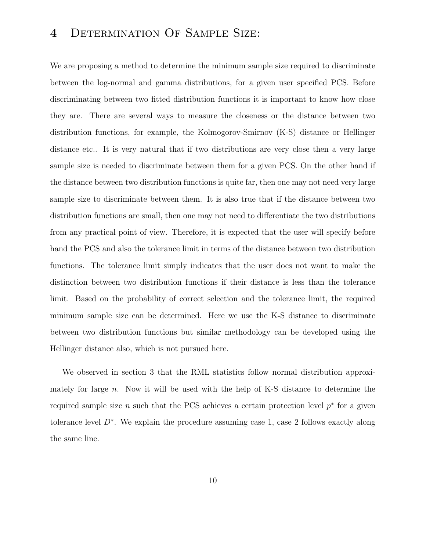# 4 Determination Of Sample Size:

We are proposing a method to determine the minimum sample size required to discriminate between the log-normal and gamma distributions, for a given user specified PCS. Before discriminating between two fitted distribution functions it is important to know how close they are. There are several ways to measure the closeness or the distance between two distribution functions, for example, the Kolmogorov-Smirnov (K-S) distance or Hellinger distance etc.. It is very natural that if two distributions are very close then a very large sample size is needed to discriminate between them for a given PCS. On the other hand if the distance between two distribution functions is quite far, then one may not need very large sample size to discriminate between them. It is also true that if the distance between two distribution functions are small, then one may not need to differentiate the two distributions from any practical point of view. Therefore, it is expected that the user will specify before hand the PCS and also the tolerance limit in terms of the distance between two distribution functions. The tolerance limit simply indicates that the user does not want to make the distinction between two distribution functions if their distance is less than the tolerance limit. Based on the probability of correct selection and the tolerance limit, the required minimum sample size can be determined. Here we use the K-S distance to discriminate between two distribution functions but similar methodology can be developed using the Hellinger distance also, which is not pursued here.

We observed in section 3 that the RML statistics follow normal distribution approximately for large  $n$ . Now it will be used with the help of K-S distance to determine the required sample size n such that the PCS achieves a certain protection level  $p^*$  for a given tolerance level D<sup>∗</sup> . We explain the procedure assuming case 1, case 2 follows exactly along the same line.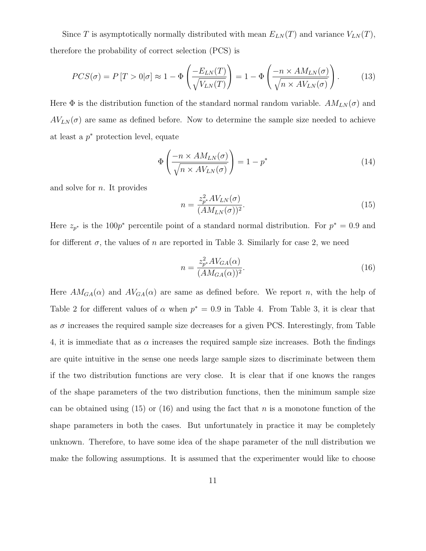Since T is asymptotically normally distributed with mean  $E_{LN}(T)$  and variance  $V_{LN}(T)$ , therefore the probability of correct selection (PCS) is

$$
PCS(\sigma) = P[T > 0|\sigma] \approx 1 - \Phi\left(\frac{-E_{LN}(T)}{\sqrt{V_{LN}(T)}}\right) = 1 - \Phi\left(\frac{-n \times AM_{LN}(\sigma)}{\sqrt{n \times AV_{LN}(\sigma)}}\right). \tag{13}
$$

Here  $\Phi$  is the distribution function of the standard normal random variable.  $AM_{LN}(\sigma)$  and  $AV_{LN}(\sigma)$  are same as defined before. Now to determine the sample size needed to achieve at least a  $p^*$  protection level, equate

$$
\Phi\left(\frac{-n \times AM_{LN}(\sigma)}{\sqrt{n \times AV_{LN}(\sigma)}}\right) = 1 - p^*
$$
\n(14)

and solve for n. It provides

$$
n = \frac{z_{p*}^2 A V_{LN}(\sigma)}{(AM_{LN}(\sigma))^2}.
$$
\n(15)

Here  $z_{p^*}$  is the 100 $p^*$  percentile point of a standard normal distribution. For  $p^* = 0.9$  and for different  $\sigma$ , the values of n are reported in Table 3. Similarly for case 2, we need

$$
n = \frac{z_{p^*}^2 A V_{GA}(\alpha)}{(AM_{GA}(\alpha))^2}.
$$
\n(16)

Here  $AM_{GA}(\alpha)$  and  $AV_{GA}(\alpha)$  are same as defined before. We report n, with the help of Table 2 for different values of  $\alpha$  when  $p^* = 0.9$  in Table 4. From Table 3, it is clear that as  $\sigma$  increases the required sample size decreases for a given PCS. Interestingly, from Table 4, it is immediate that as  $\alpha$  increases the required sample size increases. Both the findings are quite intuitive in the sense one needs large sample sizes to discriminate between them if the two distribution functions are very close. It is clear that if one knows the ranges of the shape parameters of the two distribution functions, then the minimum sample size can be obtained using (15) or (16) and using the fact that n is a monotone function of the shape parameters in both the cases. But unfortunately in practice it may be completely unknown. Therefore, to have some idea of the shape parameter of the null distribution we make the following assumptions. It is assumed that the experimenter would like to choose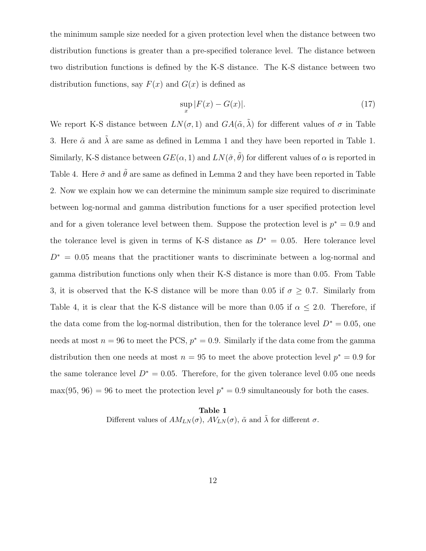the minimum sample size needed for a given protection level when the distance between two distribution functions is greater than a pre-specified tolerance level. The distance between two distribution functions is defined by the K-S distance. The K-S distance between two distribution functions, say  $F(x)$  and  $G(x)$  is defined as

$$
\sup_x |F(x) - G(x)|.\tag{17}
$$

We report K-S distance between  $LN(\sigma, 1)$  and  $GA(\tilde{\alpha}, \tilde{\lambda})$  for different values of  $\sigma$  in Table 3. Here  $\tilde{\alpha}$  and  $\tilde{\lambda}$  are same as defined in Lemma 1 and they have been reported in Table 1. Similarly, K-S distance between  $GE(\alpha, 1)$  and  $LN(\tilde{\sigma}, \tilde{\theta})$  for different values of  $\alpha$  is reported in Table 4. Here  $\tilde{\sigma}$  and  $\tilde{\theta}$  are same as defined in Lemma 2 and they have been reported in Table 2. Now we explain how we can determine the minimum sample size required to discriminate between log-normal and gamma distribution functions for a user specified protection level and for a given tolerance level between them. Suppose the protection level is  $p^* = 0.9$  and the tolerance level is given in terms of K-S distance as  $D^* = 0.05$ . Here tolerance level  $D^* = 0.05$  means that the practitioner wants to discriminate between a log-normal and gamma distribution functions only when their K-S distance is more than 0.05. From Table 3, it is observed that the K-S distance will be more than 0.05 if  $\sigma \geq 0.7$ . Similarly from Table 4, it is clear that the K-S distance will be more than 0.05 if  $\alpha \leq 2.0$ . Therefore, if the data come from the log-normal distribution, then for the tolerance level  $D^* = 0.05$ , one needs at most  $n = 96$  to meet the PCS,  $p^* = 0.9$ . Similarly if the data come from the gamma distribution then one needs at most  $n = 95$  to meet the above protection level  $p^* = 0.9$  for the same tolerance level  $D^* = 0.05$ . Therefore, for the given tolerance level 0.05 one needs  $max(95, 96) = 96$  to meet the protection level  $p^* = 0.9$  simultaneously for both the cases.

#### Table 1

Different values of  $AM_{LN}(\sigma),\,AV_{LN}(\sigma),\,\tilde{\alpha}$  and  $\tilde{\lambda}$  for different  $\sigma.$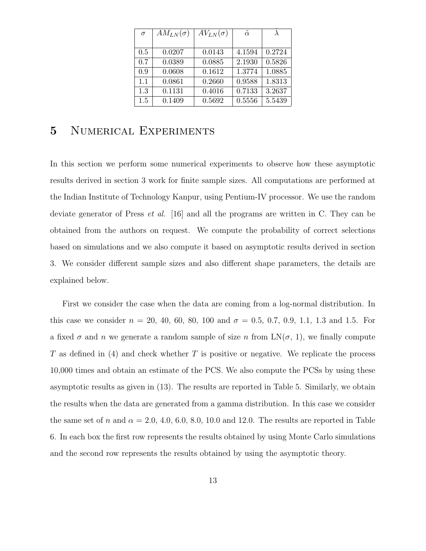| $\sigma$ | $AM_{LN}(\sigma)$ | $AV_{LN}(\sigma)$ | $\tilde{\alpha}$ |        |
|----------|-------------------|-------------------|------------------|--------|
|          |                   |                   |                  |        |
| 0.5      | 0.0207            | 0.0143            | 4.1594           | 0.2724 |
| 0.7      | 0.0389            | 0.0885            | 2.1930           | 0.5826 |
| 0.9      | 0.0608            | 0.1612            | 1.3774           | 1.0885 |
| 1.1      | 0.0861            | 0.2660            | 0.9588           | 1.8313 |
| 1.3      | 0.1131            | 0.4016            | 0.7133           | 3.2637 |
| 1.5      | 0.1409            | 0.5692            | 0.5556           | 5.5439 |

## 5 Numerical Experiments

In this section we perform some numerical experiments to observe how these asymptotic results derived in section 3 work for finite sample sizes. All computations are performed at the Indian Institute of Technology Kanpur, using Pentium-IV processor. We use the random deviate generator of Press et al. [16] and all the programs are written in C. They can be obtained from the authors on request. We compute the probability of correct selections based on simulations and we also compute it based on asymptotic results derived in section 3. We consider different sample sizes and also different shape parameters, the details are explained below.

First we consider the case when the data are coming from a log-normal distribution. In this case we consider  $n = 20, 40, 60, 80, 100$  and  $\sigma = 0.5, 0.7, 0.9, 1.1, 1.3$  and 1.5. For a fixed  $\sigma$  and n we generate a random sample of size n from  $LN(\sigma, 1)$ , we finally compute T as defined in (4) and check whether T is positive or negative. We replicate the process 10,000 times and obtain an estimate of the PCS. We also compute the PCSs by using these asymptotic results as given in (13). The results are reported in Table 5. Similarly, we obtain the results when the data are generated from a gamma distribution. In this case we consider the same set of n and  $\alpha = 2.0, 4.0, 6.0, 8.0, 10.0$  and 12.0. The results are reported in Table 6. In each box the first row represents the results obtained by using Monte Carlo simulations and the second row represents the results obtained by using the asymptotic theory.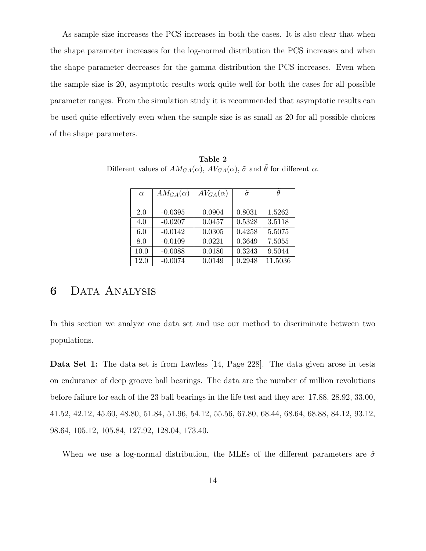As sample size increases the PCS increases in both the cases. It is also clear that when the shape parameter increases for the log-normal distribution the PCS increases and when the shape parameter decreases for the gamma distribution the PCS increases. Even when the sample size is 20, asymptotic results work quite well for both the cases for all possible parameter ranges. From the simulation study it is recommended that asymptotic results can be used quite effectively even when the sample size is as small as 20 for all possible choices of the shape parameters.

| $\alpha$ | $AM_{GA}(\alpha)$ | $AV_{GA}(\alpha)$ | $\tilde{\sigma}$ | H       |
|----------|-------------------|-------------------|------------------|---------|
|          |                   |                   |                  |         |
| 2.0      | $-0.0395$         | 0.0904            | 0.8031           | 1.5262  |
| 4.0      | $-0.0207$         | 0.0457            | 0.5328           | 3.5118  |
| 6.0      | $-0.0142$         | 0.0305            | 0.4258           | 5.5075  |
| 8.0      | $-0.0109$         | 0.0221            | 0.3649           | 7.5055  |
| 10.0     | $-0.0088$         | 0.0180            | 0.3243           | 9.5044  |
| 12.0     | $-0.0074$         | 0.0149            | 0.2948           | 11.5036 |

Table 2 Different values of  $AM_{GA}(\alpha),\,AV_{GA}(\alpha),\,\tilde{\sigma}$  and  $\tilde{\theta}$  for different  $\alpha.$ 

### 6 Data Analysis

In this section we analyze one data set and use our method to discriminate between two populations.

Data Set 1: The data set is from Lawless [14, Page 228]. The data given arose in tests on endurance of deep groove ball bearings. The data are the number of million revolutions before failure for each of the 23 ball bearings in the life test and they are: 17.88, 28.92, 33.00, 41.52, 42.12, 45.60, 48.80, 51.84, 51.96, 54.12, 55.56, 67.80, 68.44, 68.64, 68.88, 84.12, 93.12, 98.64, 105.12, 105.84, 127.92, 128.04, 173.40.

When we use a log-normal distribution, the MLEs of the different parameters are  $\hat{\sigma}$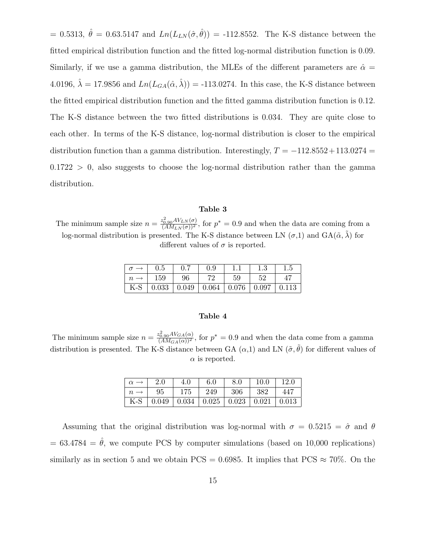= 0.5313,  $\hat{\theta} = 0.63.5147$  and  $Ln(L_{LN}(\hat{\sigma}, \hat{\theta})) = -112.8552$ . The K-S distance between the fitted empirical distribution function and the fitted log-normal distribution function is 0.09. Similarly, if we use a gamma distribution, the MLEs of the different parameters are  $\hat{\alpha} =$ 4.0196,  $\hat{\lambda} = 17.9856$  and  $Ln(L_{GA}(\hat{\alpha}, \hat{\lambda})) = -113.0274$ . In this case, the K-S distance between the fitted empirical distribution function and the fitted gamma distribution function is 0.12. The K-S distance between the two fitted distributions is 0.034. They are quite close to each other. In terms of the K-S distance, log-normal distribution is closer to the empirical distribution function than a gamma distribution. Interestingly,  $T = -112.8552 + 113.0274$  =  $0.1722 > 0$ , also suggests to choose the log-normal distribution rather than the gamma distribution.

#### Table 3

The minimum sample size  $n = \frac{z_{0.90}^2 AV_{LN}(\sigma)}{(AM_{LN}(\sigma))^2}$ , for  $p^* = 0.9$  and when the data are coming from a log-normal distribution is presented. The K-S distance between LN  $(\sigma,1)$  and GA $(\tilde{\alpha}, \tilde{\lambda})$  for different values of  $\sigma$  is reported.

|       | $\rm 0.5$ |    | 0.9                |       |       |       |
|-------|-----------|----|--------------------|-------|-------|-------|
|       | 159       | 96 | 70                 | 59    | 52    |       |
| $K-S$ | 0.033     |    | $0.049 \mid 0.064$ | 0.076 | 0.097 | 0.113 |

#### Table 4

The minimum sample size  $n = \frac{z_{0.90}^2 AV_{GA}(\alpha)}{(AM_{GA}(\alpha))^2}$ , for  $p^* = 0.9$  and when the data come from a gamma distribution is presented. The K-S distance between GA  $(\alpha,1)$  and LN  $(\tilde{\sigma},\tilde{\theta})$  for different values of  $\alpha$  is reported.

| $\alpha \rightarrow$ | 2.0                                                 | 4.0 | -6.0 | 8.0 | $\vert$ 10.0 | 12.0 |
|----------------------|-----------------------------------------------------|-----|------|-----|--------------|------|
| $n \rightarrow$      | 95                                                  | 175 | 249  | 306 | 382          | 447  |
|                      | K-S   0.049   0.034   0.025   0.023   0.021   0.013 |     |      |     |              |      |

Assuming that the original distribution was log-normal with  $\sigma = 0.5215 = \hat{\sigma}$  and  $\theta$  $= 63.4784 = \hat{\theta}$ , we compute PCS by computer simulations (based on 10,000 replications) similarly as in section 5 and we obtain PCS = 0.6985. It implies that PCS  $\approx 70\%$ . On the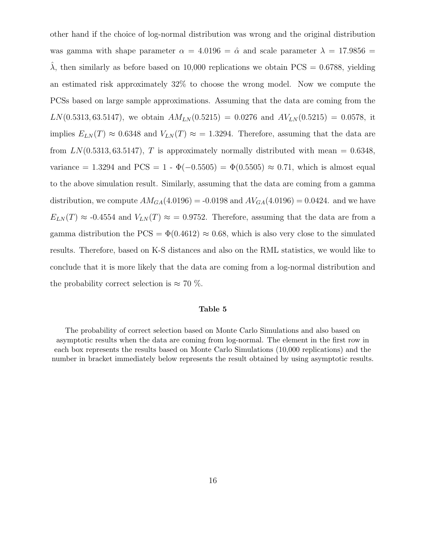other hand if the choice of log-normal distribution was wrong and the original distribution was gamma with shape parameter  $\alpha = 4.0196 = \hat{\alpha}$  and scale parameter  $\lambda = 17.9856 =$  $λ$ , then similarly as before based on 10,000 replications we obtain PCS = 0.6788, yielding an estimated risk approximately 32% to choose the wrong model. Now we compute the PCSs based on large sample approximations. Assuming that the data are coming from the  $LN(0.5313, 63.5147)$ , we obtain  $AM_{LN}(0.5215) = 0.0276$  and  $AV_{LN}(0.5215) = 0.0578$ , it implies  $E_{LN}(T) \approx 0.6348$  and  $V_{LN}(T) \approx 1.3294$ . Therefore, assuming that the data are from  $LN(0.5313, 63.5147)$ , T is approximately normally distributed with mean = 0.6348, variance = 1.3294 and PCS = 1 -  $\Phi(-0.5505) = \Phi(0.5505) \approx 0.71$ , which is almost equal to the above simulation result. Similarly, assuming that the data are coming from a gamma distribution, we compute  $AM_{GA}(4.0196) = -0.0198$  and  $AV_{GA}(4.0196) = 0.0424$ . and we have  $E_{LN}(T) \approx -0.4554$  and  $V_{LN}(T) \approx -0.9752$ . Therefore, assuming that the data are from a gamma distribution the PCS =  $\Phi(0.4612) \approx 0.68$ , which is also very close to the simulated results. Therefore, based on K-S distances and also on the RML statistics, we would like to conclude that it is more likely that the data are coming from a log-normal distribution and the probability correct selection is  $\approx 70\%$ .

#### Table 5

The probability of correct selection based on Monte Carlo Simulations and also based on asymptotic results when the data are coming from log-normal. The element in the first row in each box represents the results based on Monte Carlo Simulations (10,000 replications) and the number in bracket immediately below represents the result obtained by using asymptotic results.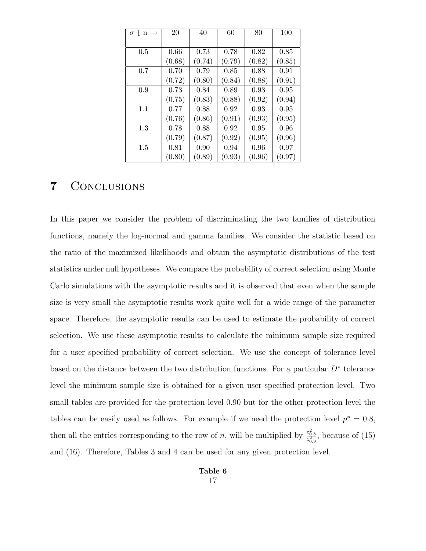| $\sigma$  <br>$n \rightarrow$ | 20     | 40     | 60     | 80     | 100    |
|-------------------------------|--------|--------|--------|--------|--------|
|                               |        |        |        |        |        |
| 0.5                           | 0.66   | 0.73   | 0.78   | 0.82   | 0.85   |
|                               | (0.68) | (0.74) | (0.79) | (0.82) | (0.85) |
| 0.7                           | 0.70   | 0.79   | 0.85   | 0.88   | 0.91   |
|                               | (0.72) | (0.80) | (0.84) | (0.88) | (0.91) |
| 0.9                           | 0.73   | 0.84   | 0.89   | 0.93   | 0.95   |
|                               | (0.75) | (0.83) | (0.88) | (0.92) | (0.94) |
| 1.1                           | 0.77   | 0.88   | 0.92   | 0.93   | 0.95   |
|                               | (0.76) | (0.86) | (0.91) | (0.93) | (0.95) |
| 1.3                           | 0.78   | 0.88   | 0.92   | 0.95   | 0.96   |
|                               | (0.79) | (0.87) | (0.92) | (0.95) | (0.96) |
| 1.5                           | 0.81   | 0.90   | 0.94   | 0.96   | 0.97   |
|                               | (0.80) | (0.89) | (0.93) | (0.96) | (0.97) |

# 7 Conclusions

In this paper we consider the problem of discriminating the two families of distribution functions, namely the log-normal and gamma families. We consider the statistic based on the ratio of the maximized likelihoods and obtain the asymptotic distributions of the test statistics under null hypotheses. We compare the probability of correct selection using Monte Carlo simulations with the asymptotic results and it is observed that even when the sample size is very small the asymptotic results work quite well for a wide range of the parameter space. Therefore, the asymptotic results can be used to estimate the probability of correct selection. We use these asymptotic results to calculate the minimum sample size required for a user specified probability of correct selection. We use the concept of tolerance level based on the distance between the two distribution functions. For a particular  $D^*$  tolerance level the minimum sample size is obtained for a given user specified protection level. Two small tables are provided for the protection level 0.90 but for the other protection level the tables can be easily used as follows. For example if we need the protection level  $p^* = 0.8$ , then all the entries corresponding to the row of n, will be multiplied by  $\frac{z_{0.8}^2}{z_{0.9}^2}$ , because of (15) and (16). Therefore, Tables 3 and 4 can be used for any given protection level.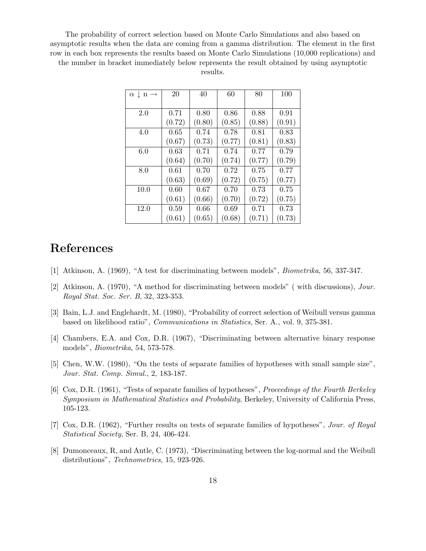The probability of correct selection based on Monte Carlo Simulations and also based on asymptotic results when the data are coming from a gamma distribution. The element in the first row in each box represents the results based on Monte Carlo Simulations (10,000 replications) and the number in bracket immediately below represents the result obtained by using asymptotic results.

| $\alpha \downarrow$<br>$n \rightarrow$ | 20     | 40     | 60     | 80     | 100    |
|----------------------------------------|--------|--------|--------|--------|--------|
|                                        |        |        |        |        |        |
| 2.0                                    | 0.71   | 0.80   | 0.86   | 0.88   | 0.91   |
|                                        | (0.72) | (0.80) | (0.85) | (0.88) | (0.91) |
| 4.0                                    | 0.65   | 0.74   | 0.78   | 0.81   | 0.83   |
|                                        | (0.67) | (0.73) | (0.77) | (0.81) | (0.83) |
| 6.0                                    | 0.63   | 0.71   | 0.74   | 0.77   | 0.79   |
|                                        | (0.64) | (0.70) | (0.74) | (0.77) | (0.79) |
| 8.0                                    | 0.61   | 0.70   | 0.72   | 0.75   | 0.77   |
|                                        | (0.63) | (0.69) | (0.72) | (0.75) | (0.77) |
| 10.0                                   | 0.60   | 0.67   | 0.70   | 0.73   | 0.75   |
|                                        | (0.61) | (0.66) | (0.70) | (0.72) | (0.75) |
| 12.0                                   | 0.59   | 0.66   | 0.69   | 0.71   | 0.73   |
|                                        | (0.61) | (0.65) | (0.68) | (0.71) | (0.73) |

## References

- [1] Atkinson, A. (1969), "A test for discriminating between models", Biometrika, 56, 337-347.
- [2] Atkinson, A. (1970), "A method for discriminating between models" ( with discussions), Jour. Royal Stat. Soc. Ser. B, 32, 323-353.
- [3] Bain, L.J. and Englehardt, M. (1980), "Probability of correct selection of Weibull versus gamma based on likelihood ratio", Communications in Statistics, Ser. A., vol. 9, 375-381.
- [4] Chambers, E.A. and Cox, D.R. (1967), "Discriminating between alternative binary response models", Biometrika, 54, 573-578.
- [5] Chen, W.W. (1980), "On the tests of separate families of hypotheses with small sample size", Jour. Stat. Comp. Simul., 2, 183-187.
- [6] Cox, D.R. (1961), "Tests of separate families of hypotheses", Proceedings of the Fourth Berkeley Symposium in Mathematical Statistics and Probability, Berkeley, University of California Press, 105-123.
- [7] Cox, D.R. (1962), "Further results on tests of separate families of hypotheses", Jour. of Royal Statistical Society, Ser. B, 24, 406-424.
- [8] Dumonceaux, R, and Antle, C. (1973), "Discriminating between the log-normal and the Weibull distributions", Technometrics, 15, 923-926.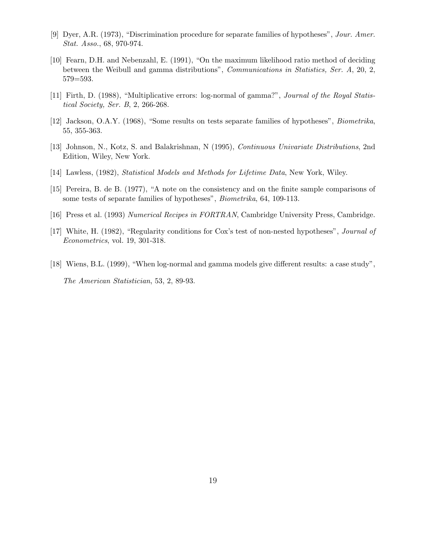- [9] Dyer, A.R. (1973), "Discrimination procedure for separate families of hypotheses", Jour. Amer. Stat. Asso., 68, 970-974.
- [10] Fearn, D.H. and Nebenzahl, E. (1991), "On the maximum likelihood ratio method of deciding between the Weibull and gamma distributions", *Communications in Statistics, Ser. A*, 20, 2, 579=593.
- [11] Firth, D. (1988), "Multiplicative errors: log-normal of gamma?", Journal of the Royal Statistical Society, Ser. B, 2, 266-268.
- [12] Jackson, O.A.Y. (1968), "Some results on tests separate families of hypotheses", Biometrika, 55, 355-363.
- [13] Johnson, N., Kotz, S. and Balakrishnan, N (1995), Continuous Univariate Distributions, 2nd Edition, Wiley, New York.
- [14] Lawless, (1982), Statistical Models and Methods for Lifetime Data, New York, Wiley.
- [15] Pereira, B. de B. (1977), "A note on the consistency and on the finite sample comparisons of some tests of separate families of hypotheses", Biometrika, 64, 109-113.
- [16] Press et al. (1993) Numerical Recipes in FORTRAN, Cambridge University Press, Cambridge.
- [17] White, H. (1982), "Regularity conditions for Cox's test of non-nested hypotheses", Journal of Econometrics, vol. 19, 301-318.
- [18] Wiens, B.L. (1999), "When log-normal and gamma models give different results: a case study", The American Statistician, 53, 2, 89-93.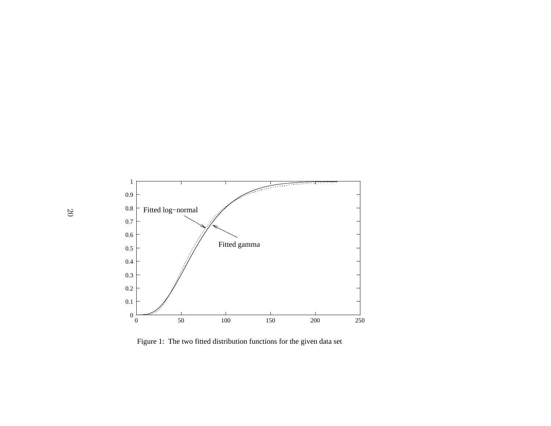

Figure 1: The two fitted distribution functions for the given data set